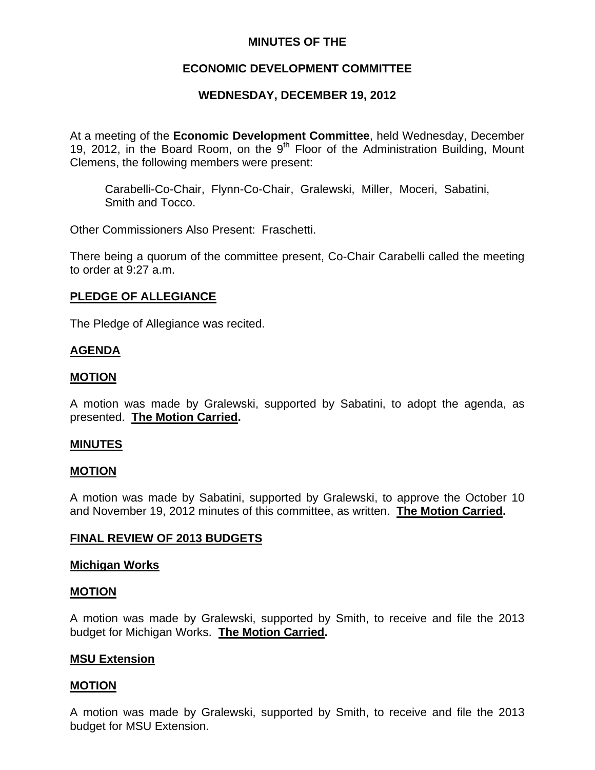## **MINUTES OF THE**

## **ECONOMIC DEVELOPMENT COMMITTEE**

## **WEDNESDAY, DECEMBER 19, 2012**

At a meeting of the **Economic Development Committee**, held Wednesday, December 19, 2012, in the Board Room, on the  $9<sup>th</sup>$  Floor of the Administration Building, Mount Clemens, the following members were present:

Carabelli-Co-Chair, Flynn-Co-Chair, Gralewski, Miller, Moceri, Sabatini, Smith and Tocco.

Other Commissioners Also Present: Fraschetti.

There being a quorum of the committee present, Co-Chair Carabelli called the meeting to order at 9:27 a.m.

## **PLEDGE OF ALLEGIANCE**

The Pledge of Allegiance was recited.

## **AGENDA**

## **MOTION**

A motion was made by Gralewski, supported by Sabatini, to adopt the agenda, as presented. **The Motion Carried.** 

#### **MINUTES**

#### **MOTION**

A motion was made by Sabatini, supported by Gralewski, to approve the October 10 and November 19, 2012 minutes of this committee, as written. **The Motion Carried.** 

## **FINAL REVIEW OF 2013 BUDGETS**

#### **Michigan Works**

#### **MOTION**

A motion was made by Gralewski, supported by Smith, to receive and file the 2013 budget for Michigan Works. **The Motion Carried.** 

#### **MSU Extension**

#### **MOTION**

A motion was made by Gralewski, supported by Smith, to receive and file the 2013 budget for MSU Extension.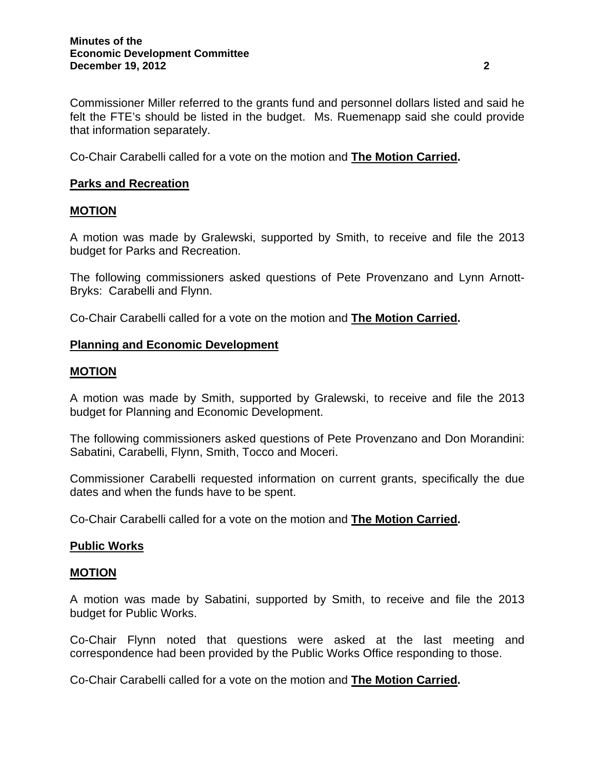Commissioner Miller referred to the grants fund and personnel dollars listed and said he felt the FTE's should be listed in the budget. Ms. Ruemenapp said she could provide that information separately.

Co-Chair Carabelli called for a vote on the motion and **The Motion Carried.** 

## **Parks and Recreation**

## **MOTION**

A motion was made by Gralewski, supported by Smith, to receive and file the 2013 budget for Parks and Recreation.

The following commissioners asked questions of Pete Provenzano and Lynn Arnott-Bryks: Carabelli and Flynn.

Co-Chair Carabelli called for a vote on the motion and **The Motion Carried.** 

### **Planning and Economic Development**

### **MOTION**

A motion was made by Smith, supported by Gralewski, to receive and file the 2013 budget for Planning and Economic Development.

The following commissioners asked questions of Pete Provenzano and Don Morandini: Sabatini, Carabelli, Flynn, Smith, Tocco and Moceri.

Commissioner Carabelli requested information on current grants, specifically the due dates and when the funds have to be spent.

Co-Chair Carabelli called for a vote on the motion and **The Motion Carried.** 

#### **Public Works**

#### **MOTION**

A motion was made by Sabatini, supported by Smith, to receive and file the 2013 budget for Public Works.

Co-Chair Flynn noted that questions were asked at the last meeting and correspondence had been provided by the Public Works Office responding to those.

Co-Chair Carabelli called for a vote on the motion and **The Motion Carried.**